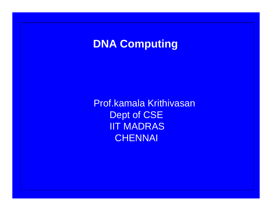# **DNA Computing**

Prof.kamala KrithivasanDept of CSE IIT MADRAS **CHENNAI**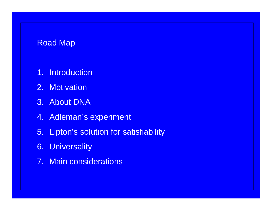## Road Map

- 1. Introduction
- 2. Motivation
- 3. About DNA
- 4. Adleman's experiment
- 5. Lipton's solution for satisfiability
- 6. Universality
- 7. Main considerations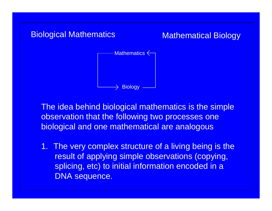

The idea behind biological mathematics is the simple observation that the following two processes one biological and one mathematical are analogous

1. The very complex structure of a living being is the result of applying simple observations (copying, splicing, etc) to initial information encoded in a DNA sequence.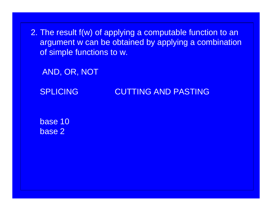2. The result f(w) of applying a computable function to an argument w can be obtained by applying a combination of simple functions to w.

AND, OR, NOT

SPLICING CUTTING AND PASTING

base 10base 2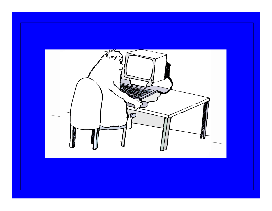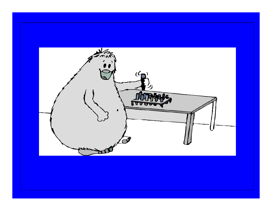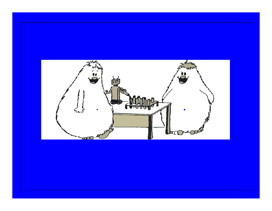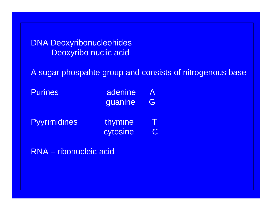DNA Deoxyribonucleohides Deoxyribo nuclic acid

A sugar phospahte group and consists of nitrogenous base

| <b>Purines</b>      | adenine              | А |
|---------------------|----------------------|---|
|                     | guanine              | G |
| <b>Pyyrimidines</b> | thymine <sup>'</sup> |   |
|                     | cytosine             |   |

RNA – ribonucleic acid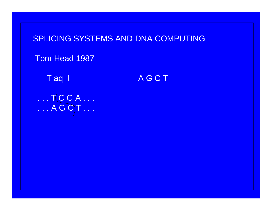SPLICING SYSTEMS AND DNA COMPUTING

### Tom Head 1987

- T aq I A G C T
- . . . T C G A . . . . . . A G C T . . .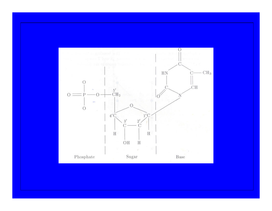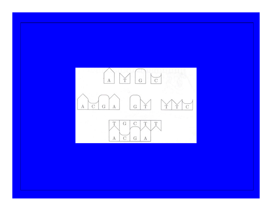$\frac{1}{\mathbf{G}}$  $\mathbf A$  $\mathbf C$ Ť  $\mathbf C$  $G$ Ť  $\mathbf A$  $G$  $\mathbf{A}$  $\check{\mathrm{T}}$  $\overline{C}$  $\tilde{T}$  ${\rm G}$ T T T  $\mathrm{C}$  $\mathbf{A}$  $\mathcal{C}$ G A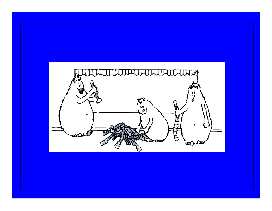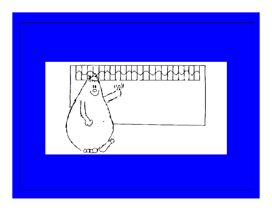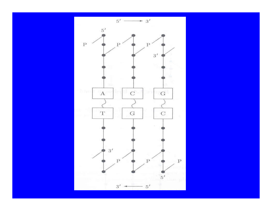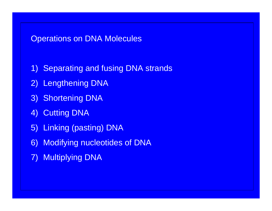## Operations on DNA Molecules

- 1) Separating and fusing DNA strands
- 2) Lengthening DNA
- 3) Shortening DNA
- 4) Cutting DNA
- 5) Linking (pasting) DNA
- 6) Modifying nucleotides of DNA
- 7) Multiplying DNA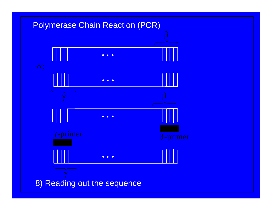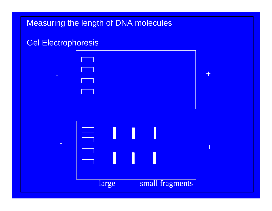## Measuring the length of DNA molecules

### Gel Electrophoresis

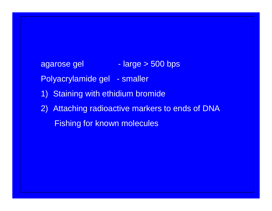agarose gel - large > 500 bps

Polyacrylamide gel - smaller

- 1) Staining with ethidium bromide
- 2) Attaching radioactive markers to ends of DNA Fishing for known molecules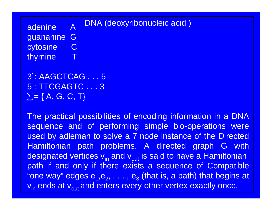adenine A DNA (deoxyribonucleic acid)  $\overline{A}$ guananine G cytosine C thymine T

3' : AAGCTCAG . . . 55 : TTCGAGTC . . . 3  $\Sigma$  = { A, G, C, T}

The practical possibilities of encoding information in a DNA sequence and of performing simple bio-operations were used by adleman to solve a 7 node instance of the Directed Hamiltonian path problems. A directed graph G with designated vertices  $v_{in}$  and  $v_{out}$  is said to have a Hamiltonian path if and only if there exists a sequence of Compatible "one way" edges  $e_1,e_2, \ldots, e_3$  (that is, a path) that begins at v<sub>in</sub> ends at v<sub>out</sub> and enters every other vertex exactly once.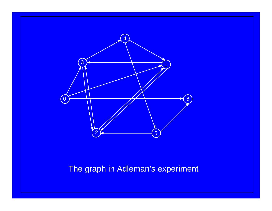

The graph in Adleman's experiment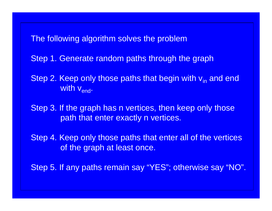The following algorithm solves the problem

Step 1. Generate random paths through the graph

Step 2. Keep only those paths that begin with  $v_{in}$  and end with  $v_{end}$ .

Step 3. If the graph has n vertices, then keep only those path that enter exactly n vertices.

Step 4. Keep only those paths that enter all of the vertices of the graph at least once.

Step 5. If any paths remain say "YES"; otherwise say "NO".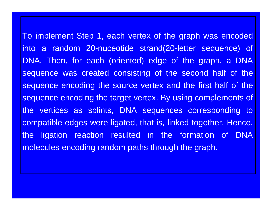To implement Step 1, each vertex of the graph was encoded into a random 20-nuceotide strand(20-letter sequence) of DNA. Then, for each (oriented) edge of the graph, a DNA sequence was created consisting of the second half of the sequence encoding the source vertex and the first half of the sequence encoding the target vertex. By using complements of the vertices as splints, DNA sequences corresponding to compatible edges were ligated, that is, linked together. Hence, the ligation reaction resulted in the formation of DNA molecules encoding random paths through the graph.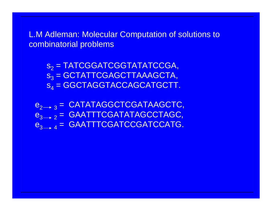L.M Adleman: Molecular Computation of solutions to combinatorial problems

 $s<sub>2</sub>$  = TATCGGATCGGTATATCCGA,  $s<sub>3</sub> =$  GCTATTCGAGCTTAAAGCTA,  $S_A = GGCTAGGTACCCAGCATGCTT$ .

 $e_{2\rightarrow 3}$  = CATATAGGCTCGATAAGCTC,  $e_{3\rightarrow 2}$  = GAATTTCGATATAGCCTAGC,  $e_{3-4} =$  GAATTTCGATCCGATCCATG.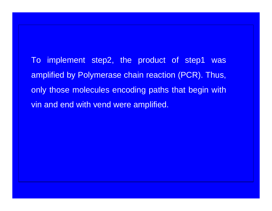To implement step2, the product of step1 was amplified by Polymerase chain reaction (PCR). Thus, only those molecules encoding paths that begin with vin and end with vend were amplified.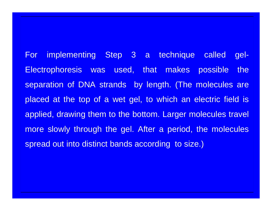For implementing Step 3 a technique called gel-Electrophoresis was used, that makes possible the separation of DNA strands by length. (The molecules are placed at the top of a wet gel, to which an electric field is applied, drawing them to the bottom. Larger molecules travel more slowly through the gel. After a period, the molecules spread out into distinct bands according to size.)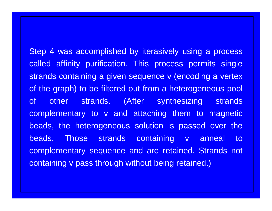Step 4 was accomplished by iterasively using a process called affinity purification. This process permits single strands containing a given sequence v (encoding a vertex of the graph) to be filtered out from a heterogeneous pool of other strands. (After synthesizing strands complementary to v and attaching them to magnetic beads, the heterogeneous solution is passed over the beads. Those strands containing v anneal to complementary sequence and are retained. Strands not containing v pass through without being retained.)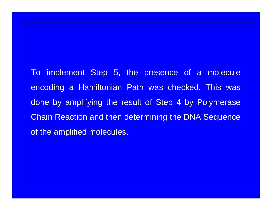To implement Step 5, the presence of a molecule encoding a Hamiltonian Path was checked. This was done by amplifying the result of Step 4 by Polymerase Chain Reaction and then determining the DNA Sequence of the amplified molecules.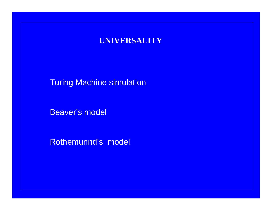### **UNIVERSALITY**

Turing Machine simulation

Beaver's model

Rothemunnd's model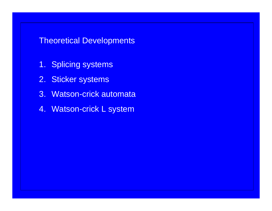## Theoretical Developments

- 1. Splicing systems
- 2. Sticker systems
- 3. Watson-crick automata
- 4. Watson-crick L system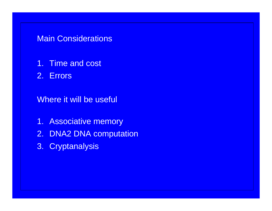#### Main Considerations

- 1. Time and cost
- 2. Errors

Where it will be useful

- 1. Associative memory
- 2. DNA2 DNA computation
- 3. Cryptanalysis